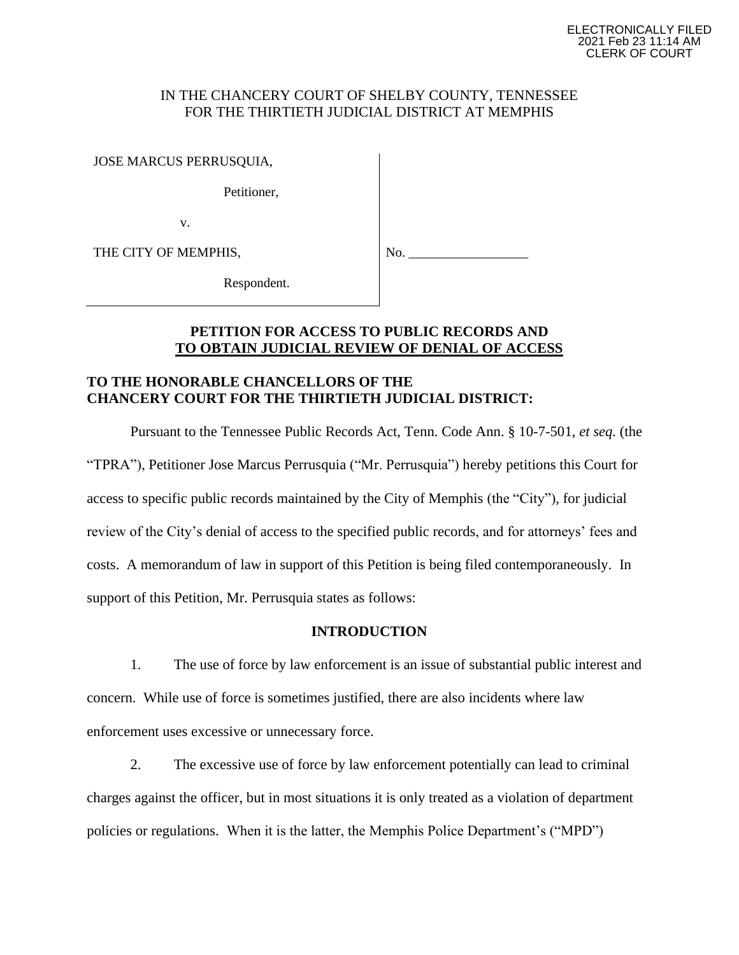## IN THE CHANCERY COURT OF SHELBY COUNTY, TENNESSEE FOR THE THIRTIETH JUDICIAL DISTRICT AT MEMPHIS

JOSE MARCUS PERRUSQUIA,

Petitioner,

v.

THE CITY OF MEMPHIS,

No.

Respondent.

## **PETITION FOR ACCESS TO PUBLIC RECORDS AND TO OBTAIN JUDICIAL REVIEW OF DENIAL OF ACCESS**

## **TO THE HONORABLE CHANCELLORS OF THE CHANCERY COURT FOR THE THIRTIETH JUDICIAL DISTRICT:**

Pursuant to the Tennessee Public Records Act, Tenn. Code Ann. § 10-7-501, *et seq.* (the "TPRA"), Petitioner Jose Marcus Perrusquia ("Mr. Perrusquia") hereby petitions this Court for access to specific public records maintained by the City of Memphis (the "City"), for judicial review of the City's denial of access to the specified public records, and for attorneys' fees and costs. A memorandum of law in support of this Petition is being filed contemporaneously. In support of this Petition, Mr. Perrusquia states as follows:

## **INTRODUCTION**

1. The use of force by law enforcement is an issue of substantial public interest and concern. While use of force is sometimes justified, there are also incidents where law enforcement uses excessive or unnecessary force.

2. The excessive use of force by law enforcement potentially can lead to criminal charges against the officer, but in most situations it is only treated as a violation of department policies or regulations. When it is the latter, the Memphis Police Department's ("MPD")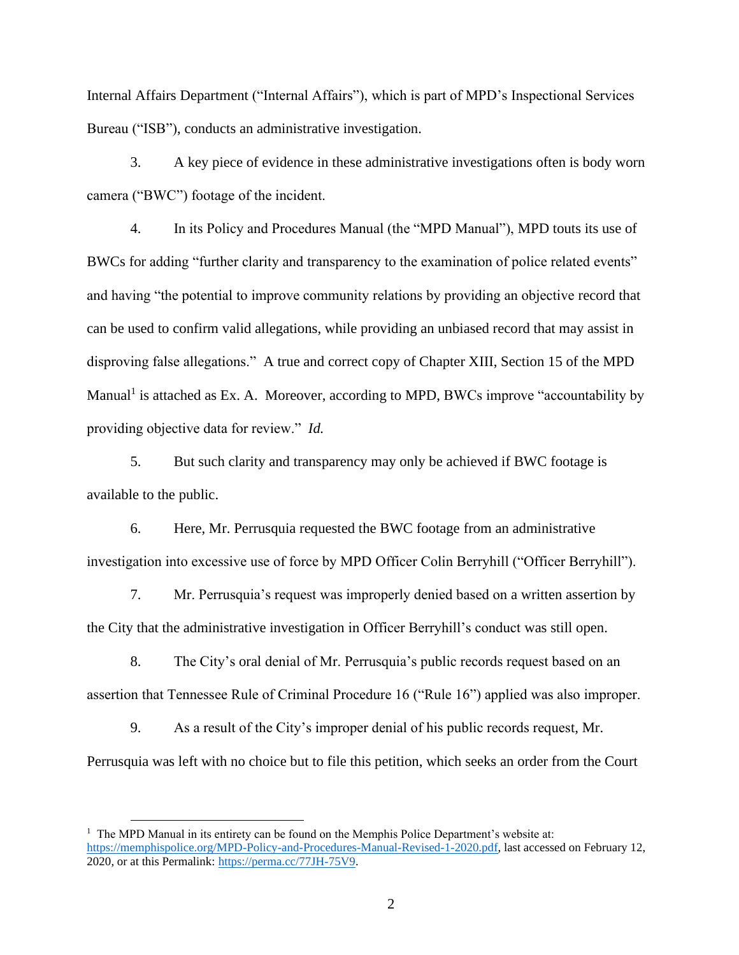Internal Affairs Department ("Internal Affairs"), which is part of MPD's Inspectional Services Bureau ("ISB"), conducts an administrative investigation.

3. A key piece of evidence in these administrative investigations often is body worn camera ("BWC") footage of the incident.

4. In its Policy and Procedures Manual (the "MPD Manual"), MPD touts its use of BWCs for adding "further clarity and transparency to the examination of police related events" and having "the potential to improve community relations by providing an objective record that can be used to confirm valid allegations, while providing an unbiased record that may assist in disproving false allegations." A true and correct copy of Chapter XIII, Section 15 of the MPD Manual<sup>1</sup> is attached as Ex. A. Moreover, according to MPD, BWCs improve "accountability by providing objective data for review." *Id.*

5. But such clarity and transparency may only be achieved if BWC footage is available to the public.

6. Here, Mr. Perrusquia requested the BWC footage from an administrative investigation into excessive use of force by MPD Officer Colin Berryhill ("Officer Berryhill").

7. Mr. Perrusquia's request was improperly denied based on a written assertion by the City that the administrative investigation in Officer Berryhill's conduct was still open.

8. The City's oral denial of Mr. Perrusquia's public records request based on an assertion that Tennessee Rule of Criminal Procedure 16 ("Rule 16") applied was also improper.

9. As a result of the City's improper denial of his public records request, Mr. Perrusquia was left with no choice but to file this petition, which seeks an order from the Court

<sup>&</sup>lt;sup>1</sup> The MPD Manual in its entirety can be found on the Memphis Police Department's website at: https://memphispolice.org/MPD-Policy-and-Procedures-Manual-Revised-1-2020.pdf, last accessed on February 12, 2020, or at this Permalink: https://perma.cc/77JH-75V9.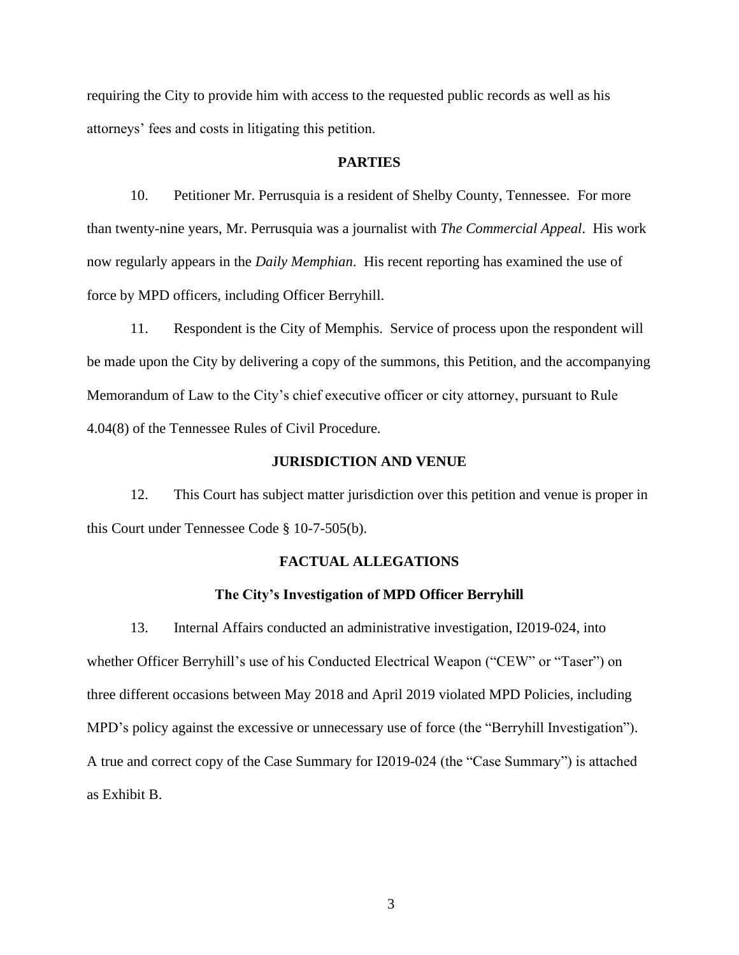requiring the City to provide him with access to the requested public records as well as his attorneys' fees and costs in litigating this petition.

## **PARTIES**

10. Petitioner Mr. Perrusquia is a resident of Shelby County, Tennessee. For more than twenty-nine years, Mr. Perrusquia was a journalist with *The Commercial Appeal*. His work now regularly appears in the *Daily Memphian*. His recent reporting has examined the use of force by MPD officers, including Officer Berryhill.

11. Respondent is the City of Memphis. Service of process upon the respondent will be made upon the City by delivering a copy of the summons, this Petition, and the accompanying Memorandum of Law to the City's chief executive officer or city attorney, pursuant to Rule 4.04(8) of the Tennessee Rules of Civil Procedure.

### **JURISDICTION AND VENUE**

12. This Court has subject matter jurisdiction over this petition and venue is proper in this Court under Tennessee Code § 10-7-505(b).

## **FACTUAL ALLEGATIONS**

#### **The City's Investigation of MPD Officer Berryhill**

13. Internal Affairs conducted an administrative investigation, I2019-024, into whether Officer Berryhill's use of his Conducted Electrical Weapon ("CEW" or "Taser") on three different occasions between May 2018 and April 2019 violated MPD Policies, including MPD's policy against the excessive or unnecessary use of force (the "Berryhill Investigation"). A true and correct copy of the Case Summary for I2019-024 (the "Case Summary") is attached as Exhibit B.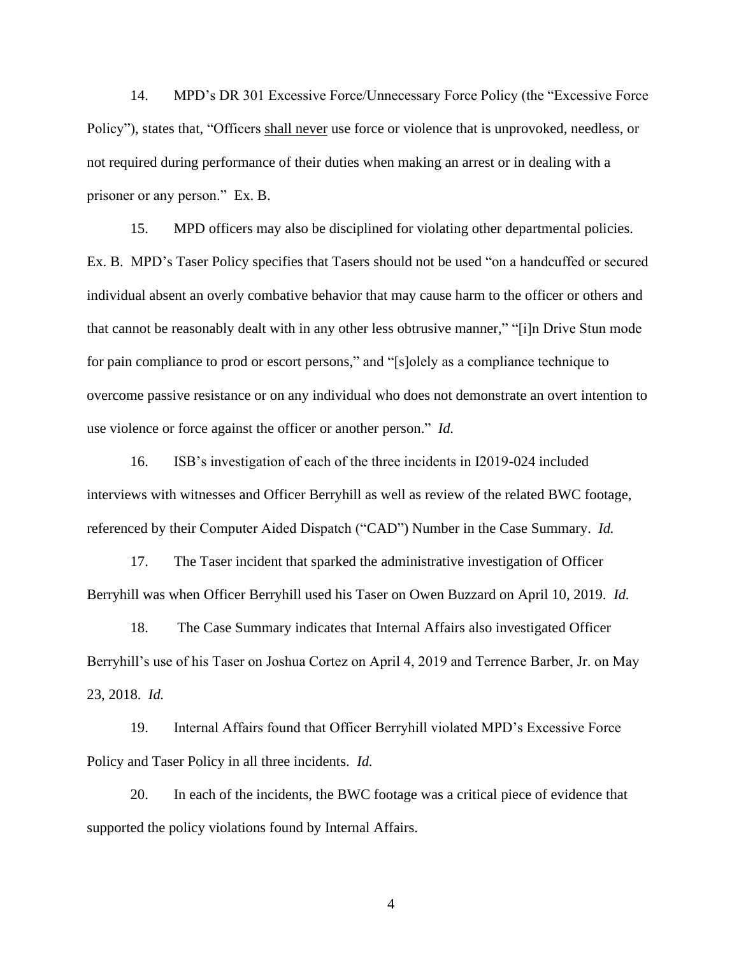14. MPD's DR 301 Excessive Force/Unnecessary Force Policy (the "Excessive Force Policy"), states that, "Officers shall never use force or violence that is unprovoked, needless, or not required during performance of their duties when making an arrest or in dealing with a prisoner or any person." Ex. B.

15. MPD officers may also be disciplined for violating other departmental policies. Ex. B. MPD's Taser Policy specifies that Tasers should not be used "on a handcuffed or secured individual absent an overly combative behavior that may cause harm to the officer or others and that cannot be reasonably dealt with in any other less obtrusive manner," "[i]n Drive Stun mode for pain compliance to prod or escort persons," and "[s]olely as a compliance technique to overcome passive resistance or on any individual who does not demonstrate an overt intention to use violence or force against the officer or another person." *Id.*

16. ISB's investigation of each of the three incidents in I2019-024 included interviews with witnesses and Officer Berryhill as well as review of the related BWC footage, referenced by their Computer Aided Dispatch ("CAD") Number in the Case Summary. *Id.*

17. The Taser incident that sparked the administrative investigation of Officer Berryhill was when Officer Berryhill used his Taser on Owen Buzzard on April 10, 2019. *Id.*

18. The Case Summary indicates that Internal Affairs also investigated Officer Berryhill's use of his Taser on Joshua Cortez on April 4, 2019 and Terrence Barber, Jr. on May 23, 2018. *Id.*

19. Internal Affairs found that Officer Berryhill violated MPD's Excessive Force Policy and Taser Policy in all three incidents. *Id.*

20. In each of the incidents, the BWC footage was a critical piece of evidence that supported the policy violations found by Internal Affairs.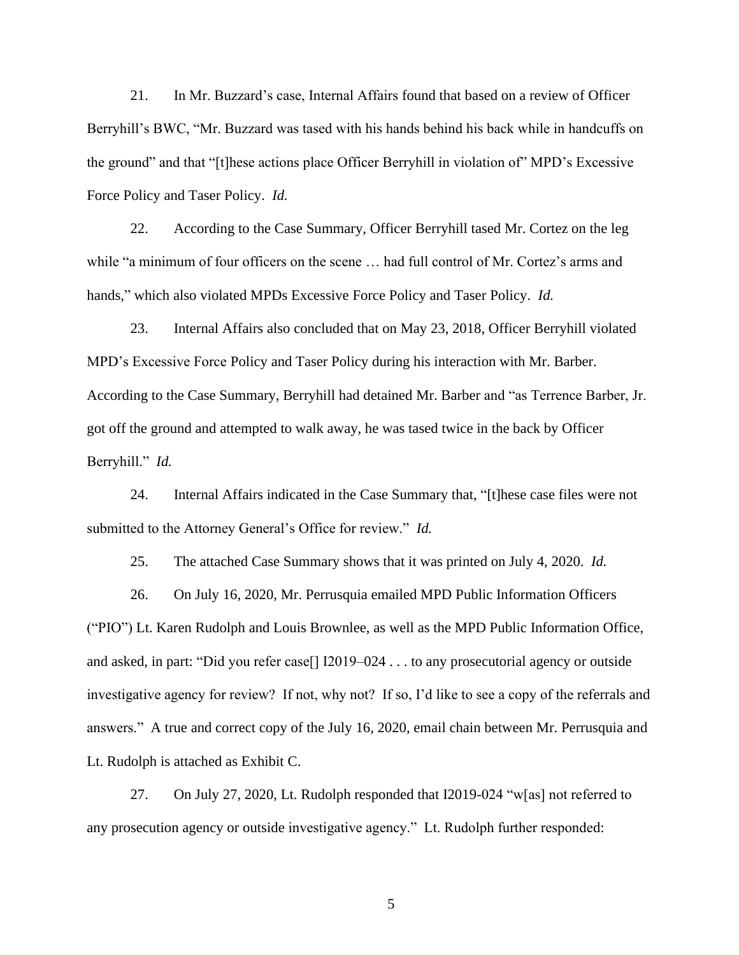21. In Mr. Buzzard's case, Internal Affairs found that based on a review of Officer Berryhill's BWC, "Mr. Buzzard was tased with his hands behind his back while in handcuffs on the ground" and that "[t]hese actions place Officer Berryhill in violation of" MPD's Excessive Force Policy and Taser Policy. *Id.*

22. According to the Case Summary, Officer Berryhill tased Mr. Cortez on the leg while "a minimum of four officers on the scene … had full control of Mr. Cortez's arms and hands," which also violated MPDs Excessive Force Policy and Taser Policy. *Id.*

23. Internal Affairs also concluded that on May 23, 2018, Officer Berryhill violated MPD's Excessive Force Policy and Taser Policy during his interaction with Mr. Barber. According to the Case Summary, Berryhill had detained Mr. Barber and "as Terrence Barber, Jr. got off the ground and attempted to walk away, he was tased twice in the back by Officer Berryhill." *Id.*

24. Internal Affairs indicated in the Case Summary that, "[t]hese case files were not submitted to the Attorney General's Office for review." *Id.*

25. The attached Case Summary shows that it was printed on July 4, 2020. *Id.*

26. On July 16, 2020, Mr. Perrusquia emailed MPD Public Information Officers ("PIO") Lt. Karen Rudolph and Louis Brownlee, as well as the MPD Public Information Office, and asked, in part: "Did you refer case[] I2019–024 . . . to any prosecutorial agency or outside investigative agency for review? If not, why not? If so, I'd like to see a copy of the referrals and answers." A true and correct copy of the July 16, 2020, email chain between Mr. Perrusquia and Lt. Rudolph is attached as Exhibit C.

27. On July 27, 2020, Lt. Rudolph responded that I2019-024 "w[as] not referred to any prosecution agency or outside investigative agency." Lt. Rudolph further responded: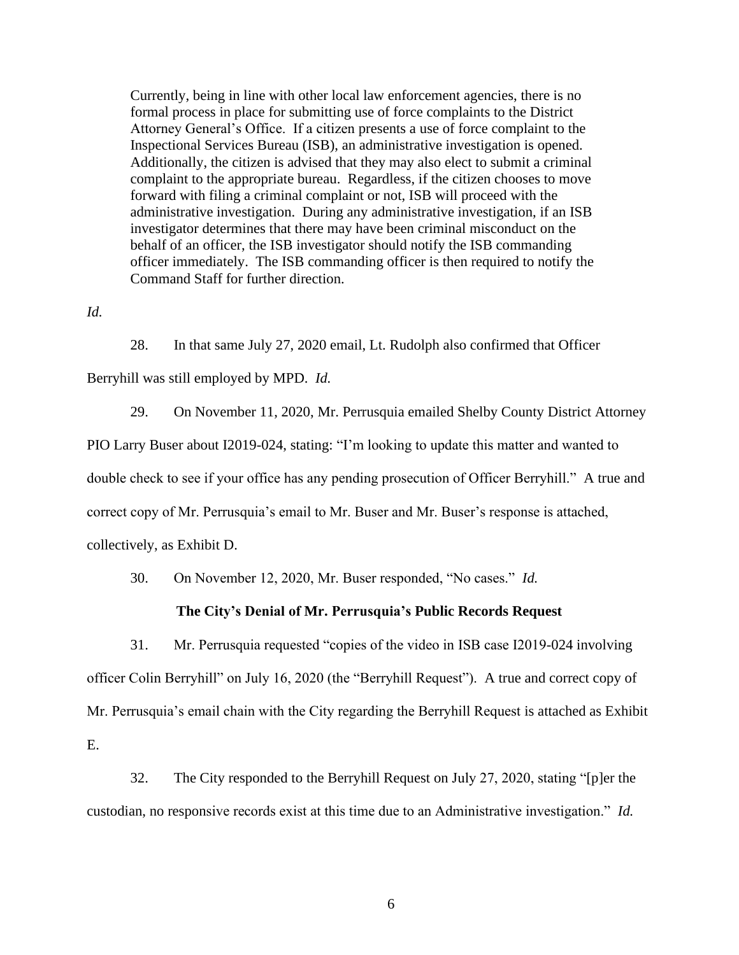Currently, being in line with other local law enforcement agencies, there is no formal process in place for submitting use of force complaints to the District Attorney General's Office. If a citizen presents a use of force complaint to the Inspectional Services Bureau (ISB), an administrative investigation is opened. Additionally, the citizen is advised that they may also elect to submit a criminal complaint to the appropriate bureau. Regardless, if the citizen chooses to move forward with filing a criminal complaint or not, ISB will proceed with the administrative investigation. During any administrative investigation, if an ISB investigator determines that there may have been criminal misconduct on the behalf of an officer, the ISB investigator should notify the ISB commanding officer immediately. The ISB commanding officer is then required to notify the Command Staff for further direction.

*Id.*

28. In that same July 27, 2020 email, Lt. Rudolph also confirmed that Officer

Berryhill was still employed by MPD. *Id.*

29. On November 11, 2020, Mr. Perrusquia emailed Shelby County District Attorney PIO Larry Buser about I2019-024, stating: "I'm looking to update this matter and wanted to double check to see if your office has any pending prosecution of Officer Berryhill." A true and correct copy of Mr. Perrusquia's email to Mr. Buser and Mr. Buser's response is attached, collectively, as Exhibit D.

30. On November 12, 2020, Mr. Buser responded, "No cases." *Id.*

## **The City's Denial of Mr. Perrusquia's Public Records Request**

31. Mr. Perrusquia requested "copies of the video in ISB case I2019-024 involving officer Colin Berryhill" on July 16, 2020 (the "Berryhill Request"). A true and correct copy of Mr. Perrusquia's email chain with the City regarding the Berryhill Request is attached as Exhibit E.

32. The City responded to the Berryhill Request on July 27, 2020, stating "[p]er the custodian, no responsive records exist at this time due to an Administrative investigation." *Id.*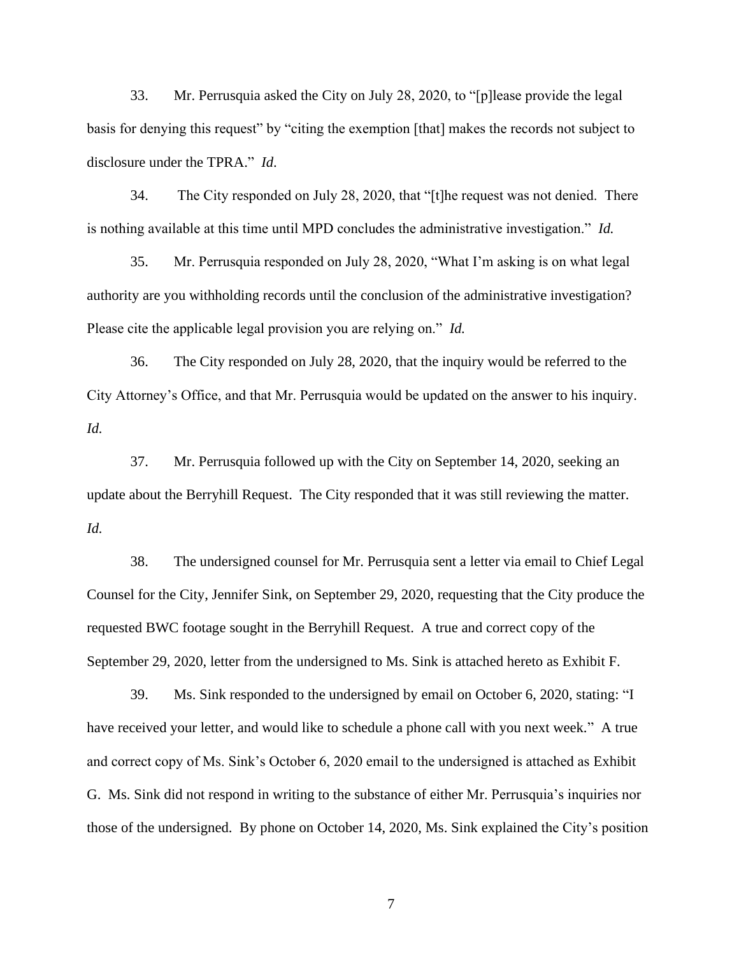33. Mr. Perrusquia asked the City on July 28, 2020, to "[p]lease provide the legal basis for denying this request" by "citing the exemption [that] makes the records not subject to disclosure under the TPRA." *Id*.

34. The City responded on July 28, 2020, that "[t]he request was not denied. There is nothing available at this time until MPD concludes the administrative investigation." *Id.*

35. Mr. Perrusquia responded on July 28, 2020, "What I'm asking is on what legal authority are you withholding records until the conclusion of the administrative investigation? Please cite the applicable legal provision you are relying on." *Id.*

36. The City responded on July 28, 2020, that the inquiry would be referred to the City Attorney's Office, and that Mr. Perrusquia would be updated on the answer to his inquiry. *Id.*

37. Mr. Perrusquia followed up with the City on September 14, 2020, seeking an update about the Berryhill Request. The City responded that it was still reviewing the matter. *Id.*

38. The undersigned counsel for Mr. Perrusquia sent a letter via email to Chief Legal Counsel for the City, Jennifer Sink, on September 29, 2020, requesting that the City produce the requested BWC footage sought in the Berryhill Request. A true and correct copy of the September 29, 2020, letter from the undersigned to Ms. Sink is attached hereto as Exhibit F.

39. Ms. Sink responded to the undersigned by email on October 6, 2020, stating: "I have received your letter, and would like to schedule a phone call with you next week." A true and correct copy of Ms. Sink's October 6, 2020 email to the undersigned is attached as Exhibit G. Ms. Sink did not respond in writing to the substance of either Mr. Perrusquia's inquiries nor those of the undersigned. By phone on October 14, 2020, Ms. Sink explained the City's position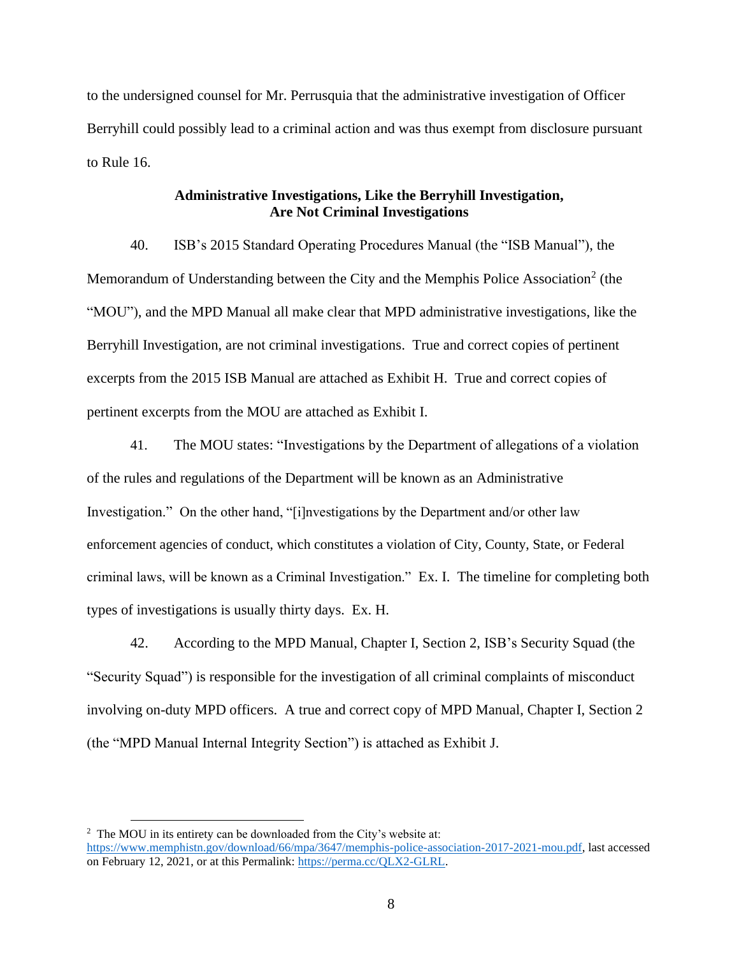to the undersigned counsel for Mr. Perrusquia that the administrative investigation of Officer Berryhill could possibly lead to a criminal action and was thus exempt from disclosure pursuant to Rule 16.

## **Administrative Investigations, Like the Berryhill Investigation, Are Not Criminal Investigations**

40. ISB's 2015 Standard Operating Procedures Manual (the "ISB Manual"), the Memorandum of Understanding between the City and the Memphis Police Association<sup>2</sup> (the "MOU"), and the MPD Manual all make clear that MPD administrative investigations, like the Berryhill Investigation, are not criminal investigations. True and correct copies of pertinent excerpts from the 2015 ISB Manual are attached as Exhibit H. True and correct copies of pertinent excerpts from the MOU are attached as Exhibit I.

41. The MOU states: "Investigations by the Department of allegations of a violation of the rules and regulations of the Department will be known as an Administrative Investigation." On the other hand, "[i]nvestigations by the Department and/or other law enforcement agencies of conduct, which constitutes a violation of City, County, State, or Federal criminal laws, will be known as a Criminal Investigation." Ex. I. The timeline for completing both types of investigations is usually thirty days. Ex. H.

42. According to the MPD Manual, Chapter I, Section 2, ISB's Security Squad (the "Security Squad") is responsible for the investigation of all criminal complaints of misconduct involving on-duty MPD officers. A true and correct copy of MPD Manual, Chapter I, Section 2 (the "MPD Manual Internal Integrity Section") is attached as Exhibit J.

<sup>&</sup>lt;sup>2</sup> The MOU in its entirety can be downloaded from the City's website at: https://www.memphistn.gov/download/66/mpa/3647/memphis-police-association-2017-2021-mou.pdf, last accessed on February 12, 2021, or at this Permalink: https://perma.cc/QLX2-GLRL.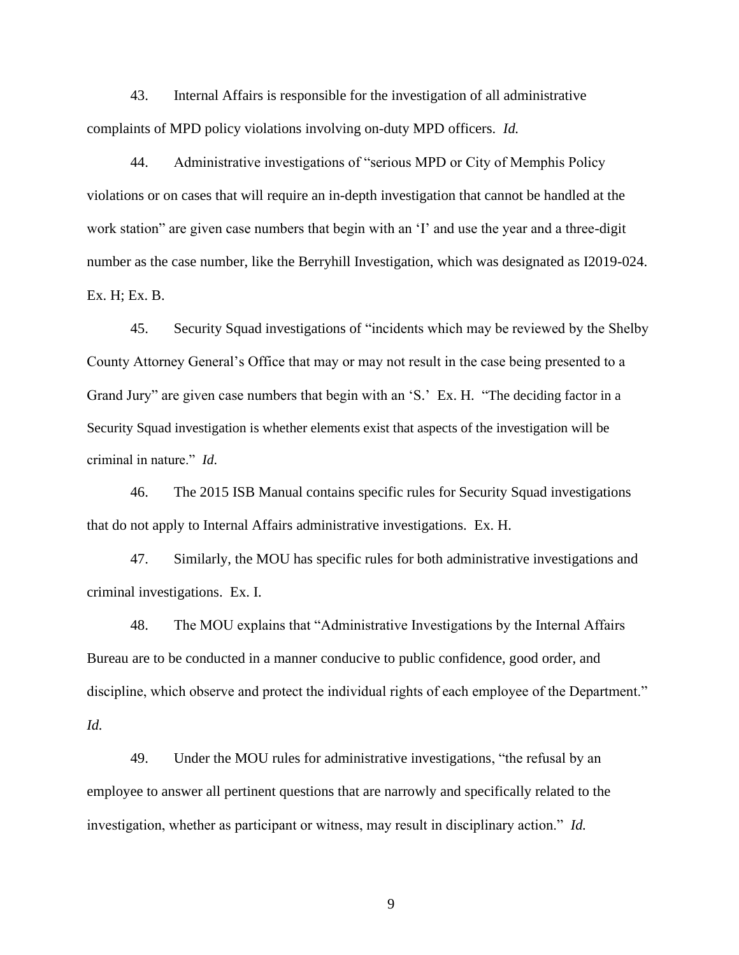43. Internal Affairs is responsible for the investigation of all administrative complaints of MPD policy violations involving on-duty MPD officers. *Id.*

44. Administrative investigations of "serious MPD or City of Memphis Policy violations or on cases that will require an in-depth investigation that cannot be handled at the work station" are given case numbers that begin with an 'I' and use the year and a three-digit number as the case number, like the Berryhill Investigation, which was designated as I2019-024. Ex. H; Ex. B.

45. Security Squad investigations of "incidents which may be reviewed by the Shelby County Attorney General's Office that may or may not result in the case being presented to a Grand Jury" are given case numbers that begin with an 'S.' Ex. H. "The deciding factor in a Security Squad investigation is whether elements exist that aspects of the investigation will be criminal in nature." *Id*.

46. The 2015 ISB Manual contains specific rules for Security Squad investigations that do not apply to Internal Affairs administrative investigations. Ex. H.

47. Similarly, the MOU has specific rules for both administrative investigations and criminal investigations. Ex. I.

48. The MOU explains that "Administrative Investigations by the Internal Affairs Bureau are to be conducted in a manner conducive to public confidence, good order, and discipline, which observe and protect the individual rights of each employee of the Department." *Id.*

49. Under the MOU rules for administrative investigations, "the refusal by an employee to answer all pertinent questions that are narrowly and specifically related to the investigation, whether as participant or witness, may result in disciplinary action." *Id.*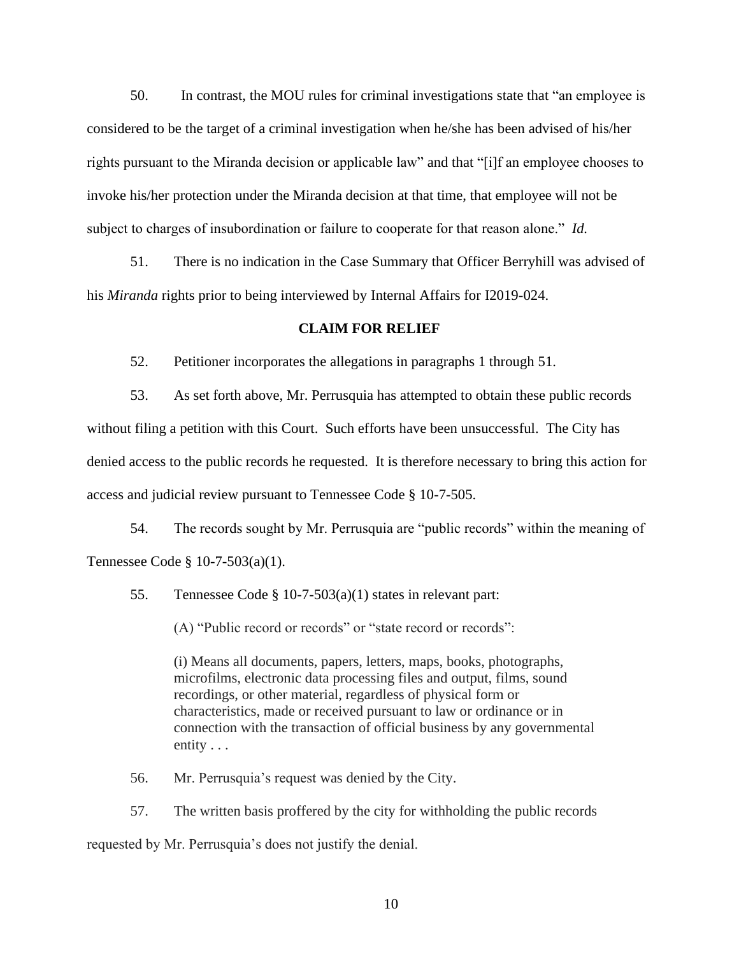50. In contrast, the MOU rules for criminal investigations state that "an employee is considered to be the target of a criminal investigation when he/she has been advised of his/her rights pursuant to the Miranda decision or applicable law" and that "[i]f an employee chooses to invoke his/her protection under the Miranda decision at that time, that employee will not be subject to charges of insubordination or failure to cooperate for that reason alone." *Id.*

51. There is no indication in the Case Summary that Officer Berryhill was advised of his *Miranda* rights prior to being interviewed by Internal Affairs for I2019-024.

### **CLAIM FOR RELIEF**

52. Petitioner incorporates the allegations in paragraphs 1 through 51.

53. As set forth above, Mr. Perrusquia has attempted to obtain these public records without filing a petition with this Court. Such efforts have been unsuccessful. The City has denied access to the public records he requested. It is therefore necessary to bring this action for access and judicial review pursuant to Tennessee Code § 10-7-505.

54. The records sought by Mr. Perrusquia are "public records" within the meaning of Tennessee Code § 10-7-503(a)(1).

55. Tennessee Code § 10-7-503(a)(1) states in relevant part:

(A) "Public record or records" or "state record or records":

(i) Means all documents, papers, letters, maps, books, photographs, microfilms, electronic data processing files and output, films, sound recordings, or other material, regardless of physical form or characteristics, made or received pursuant to law or ordinance or in connection with the transaction of official business by any governmental entity . . .

56. Mr. Perrusquia's request was denied by the City.

57. The written basis proffered by the city for withholding the public records requested by Mr. Perrusquia's does not justify the denial.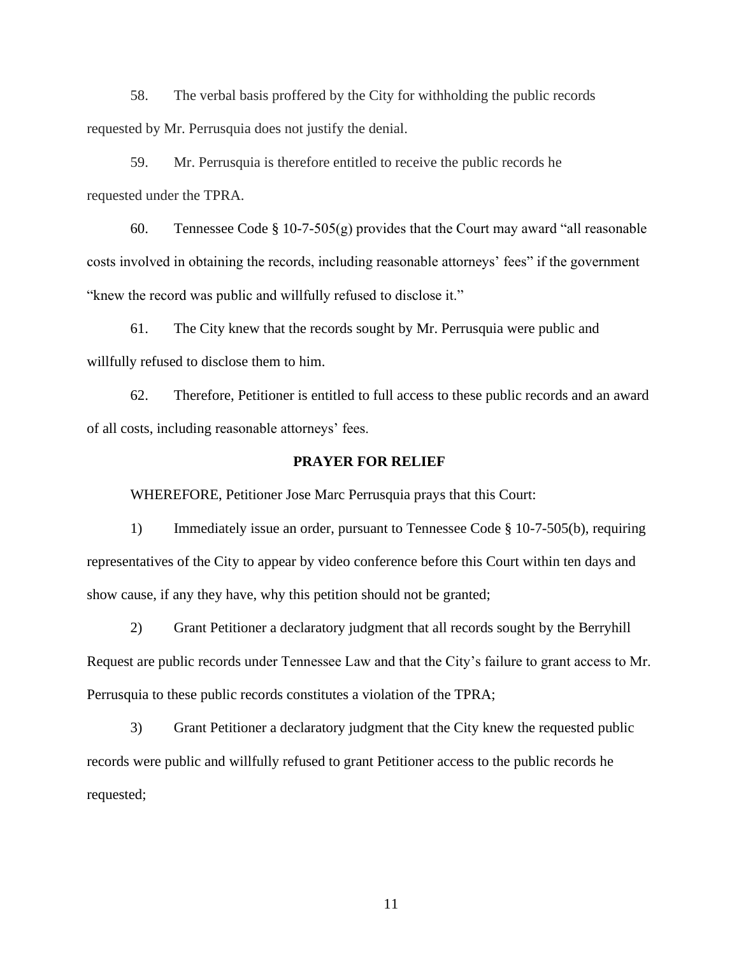58. The verbal basis proffered by the City for withholding the public records requested by Mr. Perrusquia does not justify the denial.

59. Mr. Perrusquia is therefore entitled to receive the public records he requested under the TPRA.

60. Tennessee Code § 10-7-505(g) provides that the Court may award "all reasonable costs involved in obtaining the records, including reasonable attorneys' fees" if the government "knew the record was public and willfully refused to disclose it."

61. The City knew that the records sought by Mr. Perrusquia were public and willfully refused to disclose them to him.

62. Therefore, Petitioner is entitled to full access to these public records and an award of all costs, including reasonable attorneys' fees.

### **PRAYER FOR RELIEF**

WHEREFORE, Petitioner Jose Marc Perrusquia prays that this Court:

1) Immediately issue an order, pursuant to Tennessee Code § 10-7-505(b), requiring representatives of the City to appear by video conference before this Court within ten days and show cause, if any they have, why this petition should not be granted;

2) Grant Petitioner a declaratory judgment that all records sought by the Berryhill Request are public records under Tennessee Law and that the City's failure to grant access to Mr. Perrusquia to these public records constitutes a violation of the TPRA;

3) Grant Petitioner a declaratory judgment that the City knew the requested public records were public and willfully refused to grant Petitioner access to the public records he requested;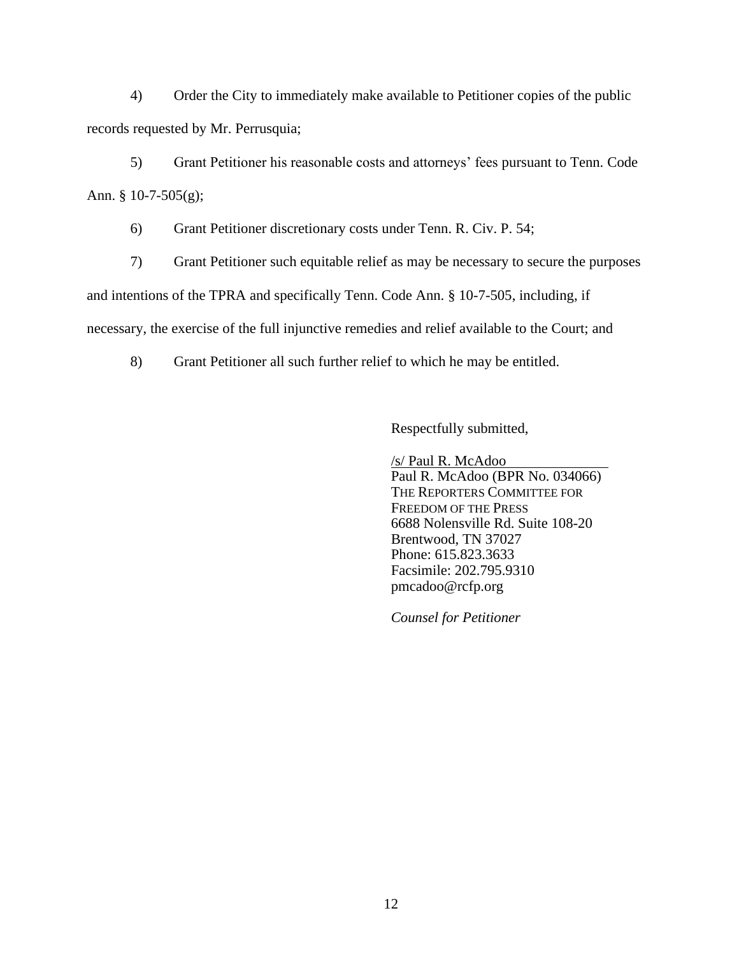4) Order the City to immediately make available to Petitioner copies of the public records requested by Mr. Perrusquia;

5) Grant Petitioner his reasonable costs and attorneys' fees pursuant to Tenn. Code Ann. § 10-7-505(g);

6) Grant Petitioner discretionary costs under Tenn. R. Civ. P. 54;

7) Grant Petitioner such equitable relief as may be necessary to secure the purposes and intentions of the TPRA and specifically Tenn. Code Ann. § 10-7-505, including, if necessary, the exercise of the full injunctive remedies and relief available to the Court; and

8) Grant Petitioner all such further relief to which he may be entitled.

Respectfully submitted,

/s/ Paul R. McAdoo Paul R. McAdoo (BPR No. 034066) THE REPORTERS COMMITTEE FOR FREEDOM OF THE PRESS 6688 Nolensville Rd. Suite 108-20 Brentwood, TN 37027 Phone: 615.823.3633 Facsimile: 202.795.9310 pmcadoo@rcfp.org

*Counsel for Petitioner*